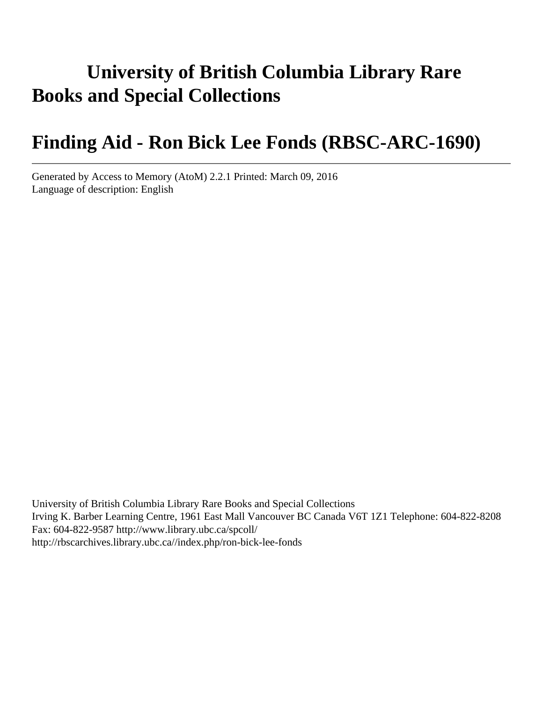# **University of British Columbia Library Rare Books and Special Collections**

# **Finding Aid - Ron Bick Lee Fonds (RBSC-ARC-1690)**

Generated by Access to Memory (AtoM) 2.2.1 Printed: March 09, 2016 Language of description: English

University of British Columbia Library Rare Books and Special Collections Irving K. Barber Learning Centre, 1961 East Mall Vancouver BC Canada V6T 1Z1 Telephone: 604-822-8208 Fax: 604-822-9587 http://www.library.ubc.ca/spcoll/ http://rbscarchives.library.ubc.ca//index.php/ron-bick-lee-fonds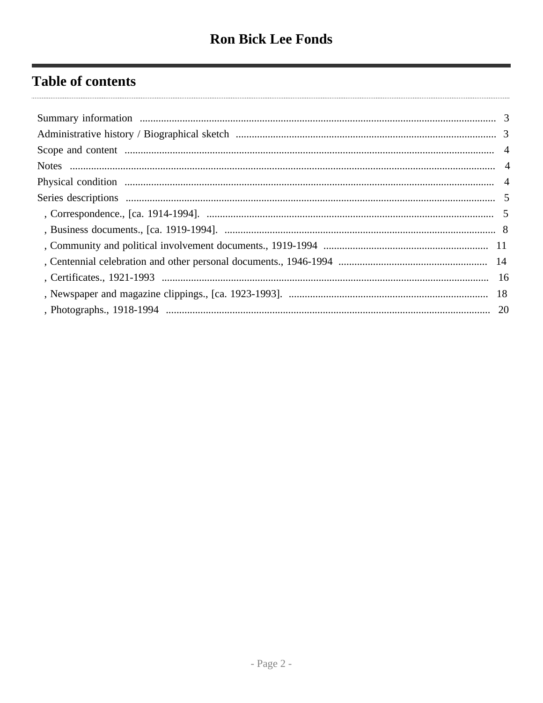## **Table of contents**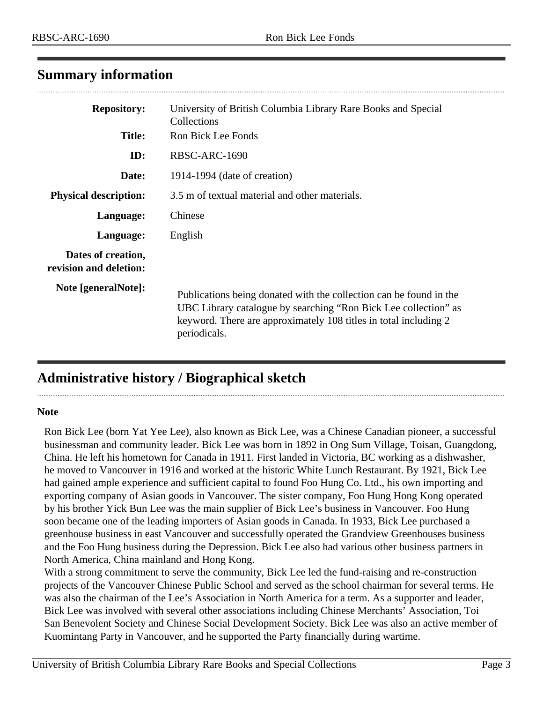## <span id="page-2-0"></span>**Summary information**

| <b>Repository:</b><br><b>Title:</b>          | University of British Columbia Library Rare Books and Special<br>Collections<br>Ron Bick Lee Fonds                                                                                                                        |
|----------------------------------------------|---------------------------------------------------------------------------------------------------------------------------------------------------------------------------------------------------------------------------|
| ID:                                          | RBSC-ARC-1690                                                                                                                                                                                                             |
| Date:                                        | 1914-1994 (date of creation)                                                                                                                                                                                              |
| <b>Physical description:</b>                 | 3.5 m of textual material and other materials.                                                                                                                                                                            |
| Language:                                    | Chinese                                                                                                                                                                                                                   |
| Language:                                    | English                                                                                                                                                                                                                   |
| Dates of creation,<br>revision and deletion: |                                                                                                                                                                                                                           |
| Note [generalNote]:                          | Publications being donated with the collection can be found in the<br>UBC Library catalogue by searching "Ron Bick Lee collection" as<br>keyword. There are approximately 108 titles in total including 2<br>periodicals. |

## <span id="page-2-1"></span>**Administrative history / Biographical sketch**

#### **Note**

Ron Bick Lee (born Yat Yee Lee), also known as Bick Lee, was a Chinese Canadian pioneer, a successful businessman and community leader. Bick Lee was born in 1892 in Ong Sum Village, Toisan, Guangdong, China. He left his hometown for Canada in 1911. First landed in Victoria, BC working as a dishwasher, he moved to Vancouver in 1916 and worked at the historic White Lunch Restaurant. By 1921, Bick Lee had gained ample experience and sufficient capital to found Foo Hung Co. Ltd., his own importing and exporting company of Asian goods in Vancouver. The sister company, Foo Hung Hong Kong operated by his brother Yick Bun Lee was the main supplier of Bick Lee's business in Vancouver. Foo Hung soon became one of the leading importers of Asian goods in Canada. In 1933, Bick Lee purchased a greenhouse business in east Vancouver and successfully operated the Grandview Greenhouses business and the Foo Hung business during the Depression. Bick Lee also had various other business partners in North America, China mainland and Hong Kong.

With a strong commitment to serve the community, Bick Lee led the fund-raising and re-construction projects of the Vancouver Chinese Public School and served as the school chairman for several terms. He was also the chairman of the Lee's Association in North America for a term. As a supporter and leader, Bick Lee was involved with several other associations including Chinese Merchants' Association, Toi San Benevolent Society and Chinese Social Development Society. Bick Lee was also an active member of Kuomintang Party in Vancouver, and he supported the Party financially during wartime.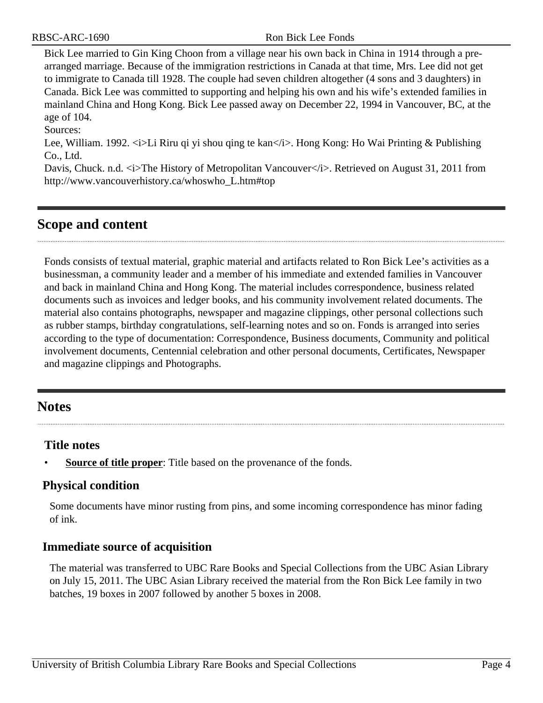Bick Lee married to Gin King Choon from a village near his own back in China in 1914 through a prearranged marriage. Because of the immigration restrictions in Canada at that time, Mrs. Lee did not get to immigrate to Canada till 1928. The couple had seven children altogether (4 sons and 3 daughters) in Canada. Bick Lee was committed to supporting and helping his own and his wife's extended families in mainland China and Hong Kong. Bick Lee passed away on December 22, 1994 in Vancouver, BC, at the age of 104.

Sources:

Lee, William. 1992.  $\langle i \rangle$ Li Riru qi yi shou qing te kan $\langle i \rangle$ . Hong Kong: Ho Wai Printing & Publishing Co., Ltd.

Davis, Chuck. n.d.  $\langle i \rangle$ The History of Metropolitan Vancouver $\langle i \rangle$ . Retrieved on August 31, 2011 from http://www.vancouverhistory.ca/whoswho\_L.htm#top

## <span id="page-3-0"></span>**Scope and content**

Fonds consists of textual material, graphic material and artifacts related to Ron Bick Lee's activities as a businessman, a community leader and a member of his immediate and extended families in Vancouver and back in mainland China and Hong Kong. The material includes correspondence, business related documents such as invoices and ledger books, and his community involvement related documents. The material also contains photographs, newspaper and magazine clippings, other personal collections such as rubber stamps, birthday congratulations, self-learning notes and so on. Fonds is arranged into series according to the type of documentation: Correspondence, Business documents, Community and political involvement documents, Centennial celebration and other personal documents, Certificates, Newspaper and magazine clippings and Photographs.

## <span id="page-3-1"></span>**Notes**

## **Title notes**

**Source of title proper**: Title based on the provenance of the fonds.

## <span id="page-3-2"></span>**Physical condition**

Some documents have minor rusting from pins, and some incoming correspondence has minor fading of ink.

## **Immediate source of acquisition**

The material was transferred to UBC Rare Books and Special Collections from the UBC Asian Library on July 15, 2011. The UBC Asian Library received the material from the Ron Bick Lee family in two batches, 19 boxes in 2007 followed by another 5 boxes in 2008.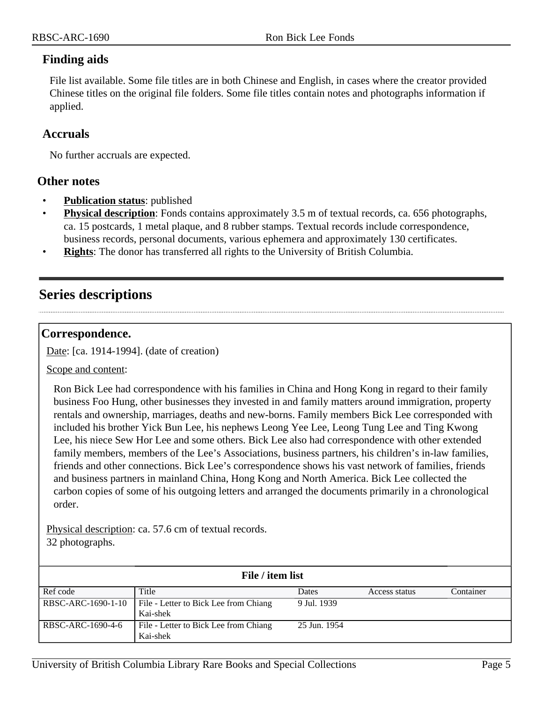## **Finding aids**

File list available. Some file titles are in both Chinese and English, in cases where the creator provided Chinese titles on the original file folders. Some file titles contain notes and photographs information if applied.

#### **Accruals**

No further accruals are expected.

## **Other notes**

- **Publication status**: published
- **Physical description**: Fonds contains approximately 3.5 m of textual records, ca. 656 photographs, ca. 15 postcards, 1 metal plaque, and 8 rubber stamps. Textual records include correspondence, business records, personal documents, various ephemera and approximately 130 certificates.
- **Rights**: The donor has transferred all rights to the University of British Columbia.

## <span id="page-4-0"></span>**Series descriptions**

## <span id="page-4-1"></span>**Correspondence.**

Date: [ca. 1914-1994]. (date of creation)

Scope and content:

Ron Bick Lee had correspondence with his families in China and Hong Kong in regard to their family business Foo Hung, other businesses they invested in and family matters around immigration, property rentals and ownership, marriages, deaths and new-borns. Family members Bick Lee corresponded with included his brother Yick Bun Lee, his nephews Leong Yee Lee, Leong Tung Lee and Ting Kwong Lee, his niece Sew Hor Lee and some others. Bick Lee also had correspondence with other extended family members, members of the Lee's Associations, business partners, his children's in-law families, friends and other connections. Bick Lee's correspondence shows his vast network of families, friends and business partners in mainland China, Hong Kong and North America. Bick Lee collected the carbon copies of some of his outgoing letters and arranged the documents primarily in a chronological order.

Physical description: ca. 57.6 cm of textual records. 32 photographs.

| File / item list  |                                                            |              |               |           |
|-------------------|------------------------------------------------------------|--------------|---------------|-----------|
| Ref code          | Title                                                      | Dates        | Access status | Container |
|                   | RBSC-ARC-1690-1-10   File - Letter to Bick Lee from Chiang | 9 Jul. 1939  |               |           |
|                   | Kai-shek                                                   |              |               |           |
| RBSC-ARC-1690-4-6 | File - Letter to Bick Lee from Chiang                      | 25 Jun. 1954 |               |           |
|                   | Kai-shek                                                   |              |               |           |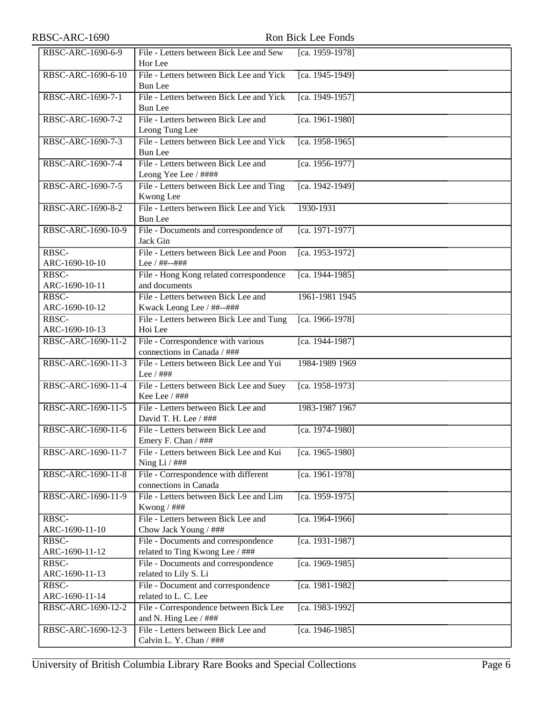| RBSC-ARC-1690           |                                                                        | Ron Bick Lee Fonds |
|-------------------------|------------------------------------------------------------------------|--------------------|
| RBSC-ARC-1690-6-9       | File - Letters between Bick Lee and Sew<br>Hor Lee                     | [ca. 1959-1978]    |
| RBSC-ARC-1690-6-10      | File - Letters between Bick Lee and Yick<br><b>Bun Lee</b>             | [ca. 1945-1949]    |
| RBSC-ARC-1690-7-1       | File - Letters between Bick Lee and Yick<br><b>Bun</b> Lee             | [ca. 1949-1957]    |
| RBSC-ARC-1690-7-2       | File - Letters between Bick Lee and<br>Leong Tung Lee                  | [ca. 1961-1980]    |
| RBSC-ARC-1690-7-3       | File - Letters between Bick Lee and Yick<br><b>Bun Lee</b>             | [ca. 1958-1965]    |
| RBSC-ARC-1690-7-4       | File - Letters between Bick Lee and<br>Leong Yee Lee / ####            | $[ca. 1956-1977]$  |
| RBSC-ARC-1690-7-5       | File - Letters between Bick Lee and Ting<br>Kwong Lee                  | [ca. 1942-1949]    |
| RBSC-ARC-1690-8-2       | File - Letters between Bick Lee and Yick<br><b>Bun</b> Lee             | 1930-1931          |
| RBSC-ARC-1690-10-9      | File - Documents and correspondence of<br>Jack Gin                     | [ca. 1971-1977]    |
| RBSC-<br>ARC-1690-10-10 | File - Letters between Bick Lee and Poon<br>Lee / ##--###              | [ca. 1953-1972]    |
| RBSC-<br>ARC-1690-10-11 | File - Hong Kong related correspondence<br>and documents               | [ca. 1944-1985]    |
| RBSC-<br>ARC-1690-10-12 | File - Letters between Bick Lee and<br>Kwack Leong Lee / ##--###       | 1961-1981 1945     |
| RBSC-<br>ARC-1690-10-13 | File - Letters between Bick Lee and Tung<br>Hoi Lee                    | [ca. 1966-1978]    |
| RBSC-ARC-1690-11-2      | File - Correspondence with various<br>connections in Canada / ###      | [ca. 1944-1987]    |
| RBSC-ARC-1690-11-3      | File - Letters between Bick Lee and Yui<br>Lee $/$ ###                 | 1984-1989 1969     |
| RBSC-ARC-1690-11-4      | File - Letters between Bick Lee and Suey<br>Kee Lee $/$ ###            | $[ca. 1958-1973]$  |
| RBSC-ARC-1690-11-5      | File - Letters between Bick Lee and<br>David T. H. Lee / ###           | 1983-1987 1967     |
| RBSC-ARC-1690-11-6      | File - Letters between Bick Lee and<br>Emery F. Chan / ###             | [ca. 1974-1980]    |
| RBSC-ARC-1690-11-7      | File - Letters between Bick Lee and Kui<br>Ning Li $/$ ###             | [ca. 1965-1980]    |
| RBSC-ARC-1690-11-8      | File - Correspondence with different<br>connections in Canada          | [ca. 1961-1978]    |
| RBSC-ARC-1690-11-9      | File - Letters between Bick Lee and Lim<br>Kwong / ###                 | [ca. 1959-1975]    |
| RBSC-<br>ARC-1690-11-10 | File - Letters between Bick Lee and<br>Chow Jack Young / ###           | [ca. 1964-1966]    |
| RBSC-<br>ARC-1690-11-12 | File - Documents and correspondence<br>related to Ting Kwong Lee / ### | [ca. 1931-1987]    |
| RBSC-<br>ARC-1690-11-13 | File - Documents and correspondence<br>related to Lily S. Li           | [ca. 1969-1985]    |
| RBSC-<br>ARC-1690-11-14 | File - Document and correspondence<br>related to L. C. Lee             | [ca. 1981-1982]    |
| RBSC-ARC-1690-12-2      | File - Correspondence between Bick Lee<br>and N. Hing Lee / ###        | [ca. 1983-1992]    |
| RBSC-ARC-1690-12-3      | File - Letters between Bick Lee and<br>Calvin L. Y. Chan / ###         | [ca. 1946-1985]    |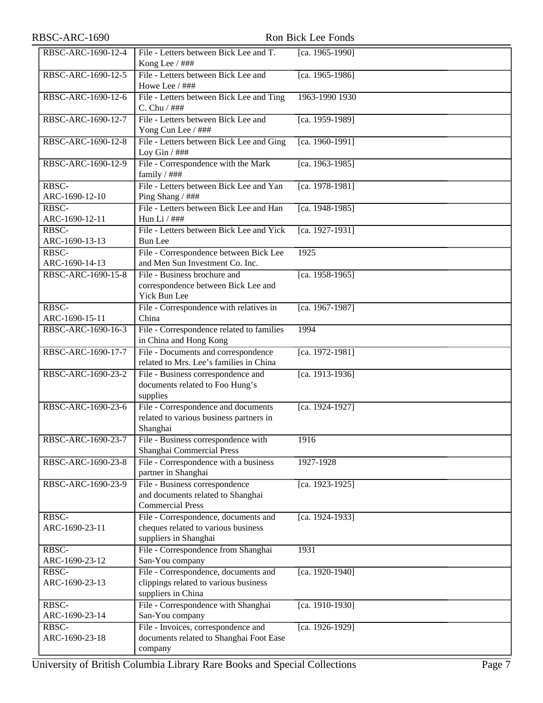| RBSC-ARC-1690-12-4 | File - Letters between Bick Lee and T.<br>Kong Lee / ### | [ca. 1965-1990] |
|--------------------|----------------------------------------------------------|-----------------|
| RBSC-ARC-1690-12-5 | File - Letters between Bick Lee and<br>Howe Lee / ###    | [ca. 1965-1986] |
|                    |                                                          |                 |
| RBSC-ARC-1690-12-6 | File - Letters between Bick Lee and Ting<br>C. Chu / ### | 1963-1990 1930  |
| RBSC-ARC-1690-12-7 | File - Letters between Bick Lee and                      | [ca. 1959-1989] |
|                    | Yong Cun Lee / ###                                       |                 |
| RBSC-ARC-1690-12-8 | File - Letters between Bick Lee and Ging                 | [ca. 1960-1991] |
|                    | Loy Gin $/$ ###                                          |                 |
| RBSC-ARC-1690-12-9 | File - Correspondence with the Mark                      | [ca. 1963-1985] |
|                    | family $/$ ###                                           |                 |
| RBSC-              | File - Letters between Bick Lee and Yan                  | [ca. 1978-1981] |
| ARC-1690-12-10     | Ping Shang / ###                                         |                 |
| RBSC-              | File - Letters between Bick Lee and Han                  | [ca. 1948-1985] |
| ARC-1690-12-11     | Hun Li $/$ ###                                           |                 |
|                    |                                                          |                 |
| RBSC-              | File - Letters between Bick Lee and Yick                 | [ca. 1927-1931] |
| ARC-1690-13-13     | <b>Bun</b> Lee                                           |                 |
| RBSC-              | File - Correspondence between Bick Lee                   | 1925            |
| ARC-1690-14-13     | and Men Sun Investment Co. Inc.                          |                 |
| RBSC-ARC-1690-15-8 | File - Business brochure and                             | [ca. 1958-1965] |
|                    | correspondence between Bick Lee and                      |                 |
|                    | Yick Bun Lee                                             |                 |
| RBSC-              | File - Correspondence with relatives in                  | [ca. 1967-1987] |
| ARC-1690-15-11     | China                                                    |                 |
| RBSC-ARC-1690-16-3 | File - Correspondence related to families                | 1994            |
|                    | in China and Hong Kong                                   |                 |
| RBSC-ARC-1690-17-7 | File - Documents and correspondence                      | [ca. 1972-1981] |
|                    | related to Mrs. Lee's families in China                  |                 |
| RBSC-ARC-1690-23-2 | File - Business correspondence and                       | [ca. 1913-1936] |
|                    |                                                          |                 |
|                    | documents related to Foo Hung's                          |                 |
|                    | supplies                                                 |                 |
| RBSC-ARC-1690-23-6 | File - Correspondence and documents                      | [ca. 1924-1927] |
|                    | related to various business partners in                  |                 |
|                    | Shanghai                                                 |                 |
| RBSC-ARC-1690-23-7 | File - Business correspondence with                      | 1916            |
|                    | Shanghai Commercial Press                                |                 |
| RBSC-ARC-1690-23-8 | File - Correspondence with a business                    | 1927-1928       |
|                    | partner in Shanghai                                      |                 |
| RBSC-ARC-1690-23-9 | File - Business correspondence                           | [ca. 1923-1925] |
|                    | and documents related to Shanghai                        |                 |
|                    | <b>Commercial Press</b>                                  |                 |
| RBSC-              | File - Correspondence, documents and                     | [ca. 1924-1933] |
| ARC-1690-23-11     | cheques related to various business                      |                 |
|                    | suppliers in Shanghai                                    |                 |
| RBSC-              | File - Correspondence from Shanghai                      | 1931            |
| ARC-1690-23-12     | San-You company                                          |                 |
| RBSC-              | File - Correspondence, documents and                     | [ca. 1920-1940] |
| ARC-1690-23-13     | clippings related to various business                    |                 |
|                    |                                                          |                 |
|                    | suppliers in China                                       |                 |
| RBSC-              | File - Correspondence with Shanghai                      | [ca. 1910-1930] |
| ARC-1690-23-14     | San-You company                                          |                 |
| RBSC-              | File - Invoices, correspondence and                      | [ca. 1926-1929] |
| ARC-1690-23-18     | documents related to Shanghai Foot Ease                  |                 |
|                    | company                                                  |                 |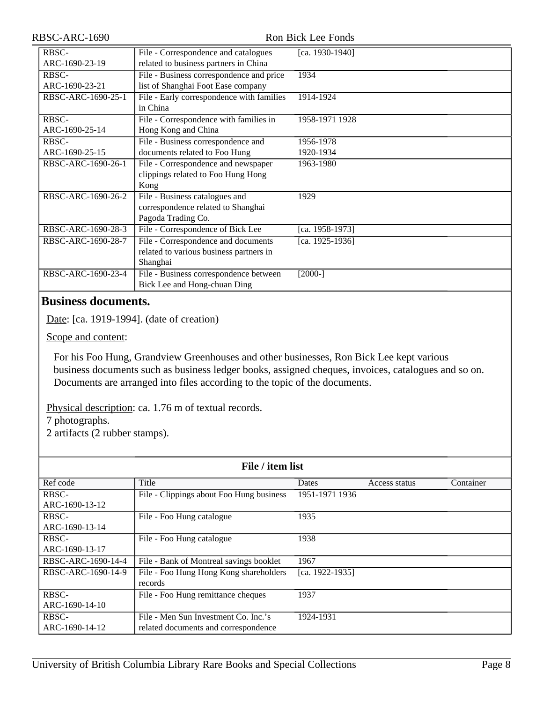#### Ron Bick Lee Fonds

| File - Correspondence and catalogues      | [ca. 1930-1940]                                                                                                                          |
|-------------------------------------------|------------------------------------------------------------------------------------------------------------------------------------------|
| related to business partners in China     |                                                                                                                                          |
| File - Business correspondence and price  | 1934                                                                                                                                     |
| list of Shanghai Foot Ease company        |                                                                                                                                          |
| File - Early correspondence with families | 1914-1924                                                                                                                                |
| in China                                  |                                                                                                                                          |
| File - Correspondence with families in    | 1958-1971 1928                                                                                                                           |
| Hong Kong and China                       |                                                                                                                                          |
| File - Business correspondence and        | 1956-1978                                                                                                                                |
| documents related to Foo Hung             | 1920-1934                                                                                                                                |
| File - Correspondence and newspaper       | 1963-1980                                                                                                                                |
| clippings related to Foo Hung Hong        |                                                                                                                                          |
| Kong                                      |                                                                                                                                          |
| File - Business catalogues and            | 1929                                                                                                                                     |
|                                           |                                                                                                                                          |
|                                           |                                                                                                                                          |
|                                           | [ca. 1958-1973]                                                                                                                          |
| File - Correspondence and documents       | [ca. 1925-1936]                                                                                                                          |
|                                           |                                                                                                                                          |
| Shanghai                                  |                                                                                                                                          |
| File - Business correspondence between    | $[2000-]$                                                                                                                                |
| Bick Lee and Hong-chuan Ding              |                                                                                                                                          |
|                                           | correspondence related to Shanghai<br>Pagoda Trading Co.<br>File - Correspondence of Bick Lee<br>related to various business partners in |

## <span id="page-7-0"></span>**Business documents.**

Date: [ca. 1919-1994]. (date of creation)

Scope and content:

For his Foo Hung, Grandview Greenhouses and other businesses, Ron Bick Lee kept various business documents such as business ledger books, assigned cheques, invoices, catalogues and so on. Documents are arranged into files according to the topic of the documents.

Physical description: ca. 1.76 m of textual records.

7 photographs.

2 artifacts (2 rubber stamps).

| File / item list   |                                          |                 |               |           |
|--------------------|------------------------------------------|-----------------|---------------|-----------|
| Ref code           | Title                                    | Dates           | Access status | Container |
| RBSC-              | File - Clippings about Foo Hung business | 1951-1971 1936  |               |           |
| ARC-1690-13-12     |                                          |                 |               |           |
| RBSC-              | File - Foo Hung catalogue                | 1935            |               |           |
| ARC-1690-13-14     |                                          |                 |               |           |
| RBSC-              | File - Foo Hung catalogue                | 1938            |               |           |
| ARC-1690-13-17     |                                          |                 |               |           |
| RBSC-ARC-1690-14-4 | File - Bank of Montreal savings booklet  | 1967            |               |           |
| RBSC-ARC-1690-14-9 | File - Foo Hung Hong Kong shareholders   | [ca. 1922-1935] |               |           |
|                    | records                                  |                 |               |           |
| RBSC-              | File - Foo Hung remittance cheques       | 1937            |               |           |
| ARC-1690-14-10     |                                          |                 |               |           |
| RBSC-              | File - Men Sun Investment Co. Inc.'s     | 1924-1931       |               |           |
| ARC-1690-14-12     | related documents and correspondence     |                 |               |           |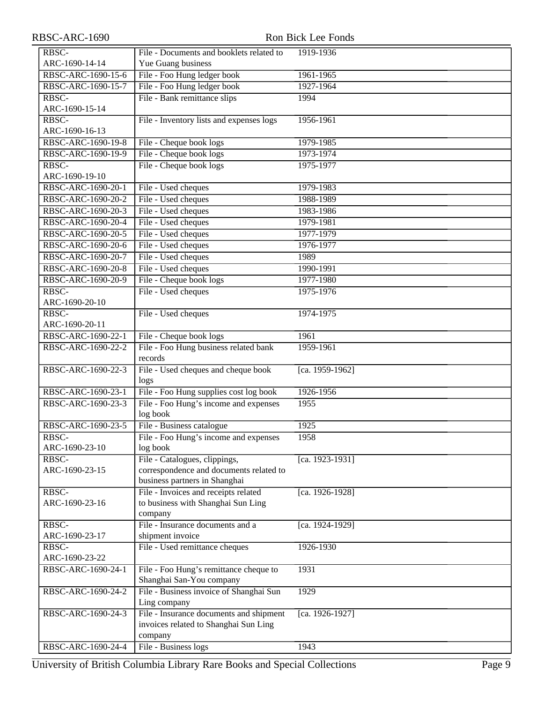| RBSC-ARC-1690      | Ron Bick Lee Fonds                       |                 |  |
|--------------------|------------------------------------------|-----------------|--|
| RBSC-              | File - Documents and booklets related to | 1919-1936       |  |
| ARC-1690-14-14     | Yue Guang business                       |                 |  |
| RBSC-ARC-1690-15-6 | File - Foo Hung ledger book              | 1961-1965       |  |
| RBSC-ARC-1690-15-7 | File - Foo Hung ledger book              | 1927-1964       |  |
| RBSC-              | File - Bank remittance slips             | 1994            |  |
| ARC-1690-15-14     |                                          |                 |  |
| RBSC-              | File - Inventory lists and expenses logs | 1956-1961       |  |
| ARC-1690-16-13     |                                          |                 |  |
| RBSC-ARC-1690-19-8 | File - Cheque book logs                  | 1979-1985       |  |
| RBSC-ARC-1690-19-9 | File - Cheque book logs                  | 1973-1974       |  |
| RBSC-              | File - Cheque book logs                  | 1975-1977       |  |
| ARC-1690-19-10     |                                          |                 |  |
| RBSC-ARC-1690-20-1 | File - Used cheques                      | 1979-1983       |  |
| RBSC-ARC-1690-20-2 | File - Used cheques                      | 1988-1989       |  |
| RBSC-ARC-1690-20-3 | File - Used cheques                      | 1983-1986       |  |
| RBSC-ARC-1690-20-4 | File - Used cheques                      | 1979-1981       |  |
| RBSC-ARC-1690-20-5 | File - Used cheques                      | 1977-1979       |  |
| RBSC-ARC-1690-20-6 | File - Used cheques                      | 1976-1977       |  |
| RBSC-ARC-1690-20-7 | File - Used cheques                      | 1989            |  |
| RBSC-ARC-1690-20-8 | File - Used cheques                      | 1990-1991       |  |
| RBSC-ARC-1690-20-9 | File - Cheque book logs                  | 1977-1980       |  |
| RBSC-              | File - Used cheques                      | 1975-1976       |  |
| ARC-1690-20-10     |                                          |                 |  |
| RBSC-              | File - Used cheques                      | 1974-1975       |  |
| ARC-1690-20-11     |                                          |                 |  |
| RBSC-ARC-1690-22-1 | File - Cheque book logs                  | 1961            |  |
| RBSC-ARC-1690-22-2 | File - Foo Hung business related bank    | 1959-1961       |  |
|                    | records                                  |                 |  |
| RBSC-ARC-1690-22-3 | File - Used cheques and cheque book      | [ca. 1959-1962] |  |
|                    | logs                                     |                 |  |
| RBSC-ARC-1690-23-1 | File - Foo Hung supplies cost log book   | 1926-1956       |  |
| RBSC-ARC-1690-23-3 | File - Foo Hung's income and expenses    | 1955            |  |
|                    | log book                                 |                 |  |
| RBSC-ARC-1690-23-5 | File - Business catalogue                | 1925            |  |
| RBSC-              | File - Foo Hung's income and expenses    | 1958            |  |
| ARC-1690-23-10     | log book                                 |                 |  |
| RBSC-              | File - Catalogues, clippings,            | [ca. 1923-1931] |  |
| ARC-1690-23-15     | correspondence and documents related to  |                 |  |
|                    | business partners in Shanghai            |                 |  |
| RBSC-              | File - Invoices and receipts related     | [ca. 1926-1928] |  |
| ARC-1690-23-16     | to business with Shanghai Sun Ling       |                 |  |
|                    | company                                  |                 |  |
| RBSC-              | File - Insurance documents and a         | [ca. 1924-1929] |  |
| ARC-1690-23-17     | shipment invoice                         |                 |  |
| RBSC-              | File - Used remittance cheques           | 1926-1930       |  |
| ARC-1690-23-22     |                                          |                 |  |
| RBSC-ARC-1690-24-1 | File - Foo Hung's remittance cheque to   | 1931            |  |
|                    | Shanghai San-You company                 |                 |  |
| RBSC-ARC-1690-24-2 | File - Business invoice of Shanghai Sun  | 1929            |  |
|                    | Ling company                             |                 |  |
| RBSC-ARC-1690-24-3 | File - Insurance documents and shipment  | [ca. 1926-1927] |  |
|                    | invoices related to Shanghai Sun Ling    |                 |  |
|                    | company                                  |                 |  |
| RBSC-ARC-1690-24-4 | File - Business logs                     | 1943            |  |

University of British Columbia Library Rare Books and Special Collections Page 9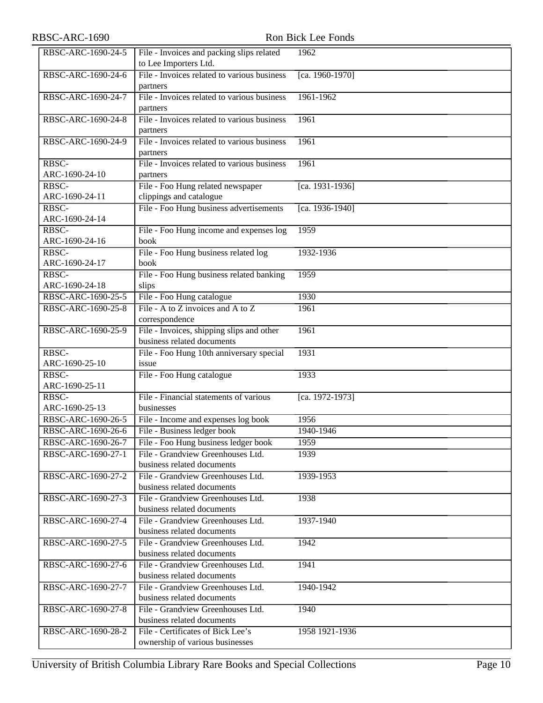| RBSC-ARC-1690-24-5 | File - Invoices and packing slips related                            | 1962            |
|--------------------|----------------------------------------------------------------------|-----------------|
|                    | to Lee Importers Ltd.                                                |                 |
| RBSC-ARC-1690-24-6 | File - Invoices related to various business                          | [ca. 1960-1970] |
|                    | partners                                                             |                 |
| RBSC-ARC-1690-24-7 | File - Invoices related to various business                          | 1961-1962       |
|                    | partners                                                             |                 |
| RBSC-ARC-1690-24-8 | File - Invoices related to various business                          | 1961            |
|                    | partners                                                             |                 |
| RBSC-ARC-1690-24-9 | File - Invoices related to various business                          | 1961            |
|                    | partners                                                             |                 |
| RBSC-              | File - Invoices related to various business                          | 1961            |
| ARC-1690-24-10     | partners                                                             |                 |
| RBSC-              | File - Foo Hung related newspaper                                    | [ca. 1931-1936] |
| ARC-1690-24-11     | clippings and catalogue                                              |                 |
| RBSC-              | File - Foo Hung business advertisements                              | [ca. 1936-1940] |
| ARC-1690-24-14     |                                                                      |                 |
| RBSC-              | File - Foo Hung income and expenses log                              | 1959            |
| ARC-1690-24-16     | book                                                                 |                 |
| RBSC-              | File - Foo Hung business related log                                 | 1932-1936       |
| ARC-1690-24-17     | book                                                                 |                 |
| RBSC-              | File - Foo Hung business related banking                             | 1959            |
| ARC-1690-24-18     | slips                                                                |                 |
| RBSC-ARC-1690-25-5 | File - Foo Hung catalogue                                            | 1930            |
| RBSC-ARC-1690-25-8 | File - A to Z invoices and A to Z                                    | 1961            |
|                    | correspondence                                                       |                 |
| RBSC-ARC-1690-25-9 | File - Invoices, shipping slips and other                            | 1961            |
|                    | business related documents                                           |                 |
| RBSC-              | File - Foo Hung 10th anniversary special                             | 1931            |
| ARC-1690-25-10     | issue                                                                |                 |
| RBSC-              | File - Foo Hung catalogue                                            | 1933            |
| ARC-1690-25-11     |                                                                      |                 |
| RBSC-              | File - Financial statements of various                               | [ca. 1972-1973] |
| ARC-1690-25-13     | businesses                                                           |                 |
| RBSC-ARC-1690-26-5 | File - Income and expenses log book                                  | 1956            |
| RBSC-ARC-1690-26-6 | File - Business ledger book                                          | 1940-1946       |
| RBSC-ARC-1690-26-7 | File - Foo Hung business ledger book                                 | 1959            |
| RBSC-ARC-1690-27-1 | File - Grandview Greenhouses Ltd.                                    | 1939            |
|                    | business related documents                                           |                 |
|                    |                                                                      |                 |
| RBSC-ARC-1690-27-2 | File - Grandview Greenhouses Ltd.                                    | 1939-1953       |
|                    | business related documents                                           |                 |
| RBSC-ARC-1690-27-3 | File - Grandview Greenhouses Ltd.                                    | 1938            |
|                    | business related documents                                           |                 |
| RBSC-ARC-1690-27-4 | File - Grandview Greenhouses Ltd.                                    | 1937-1940       |
|                    | business related documents                                           |                 |
| RBSC-ARC-1690-27-5 | File - Grandview Greenhouses Ltd.                                    | 1942            |
|                    | business related documents                                           |                 |
| RBSC-ARC-1690-27-6 | File - Grandview Greenhouses Ltd.                                    | 1941            |
|                    | business related documents                                           |                 |
| RBSC-ARC-1690-27-7 | File - Grandview Greenhouses Ltd.                                    | 1940-1942       |
|                    | business related documents                                           |                 |
| RBSC-ARC-1690-27-8 | File - Grandview Greenhouses Ltd.                                    | 1940            |
|                    | business related documents                                           |                 |
| RBSC-ARC-1690-28-2 | File - Certificates of Bick Lee's<br>ownership of various businesses | 1958 1921-1936  |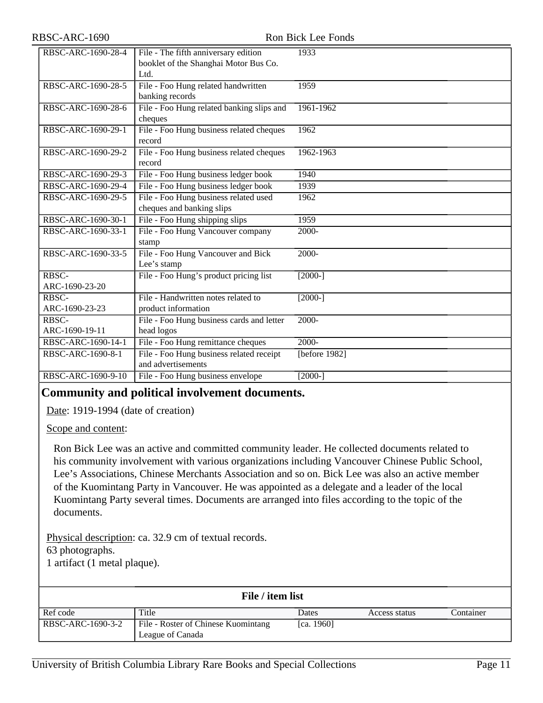| RBSC-ARC-1690-28-4 | File - The fifth anniversary edition      | 1933              |
|--------------------|-------------------------------------------|-------------------|
|                    | booklet of the Shanghai Motor Bus Co.     |                   |
|                    | Ltd.                                      |                   |
| RBSC-ARC-1690-28-5 | File - Foo Hung related handwritten       | 1959              |
|                    | banking records                           |                   |
| RBSC-ARC-1690-28-6 | File - Foo Hung related banking slips and | 1961-1962         |
|                    | cheques                                   |                   |
| RBSC-ARC-1690-29-1 | File - Foo Hung business related cheques  | 1962              |
|                    | record                                    |                   |
| RBSC-ARC-1690-29-2 | File - Foo Hung business related cheques  | 1962-1963         |
|                    | record                                    |                   |
| RBSC-ARC-1690-29-3 | File - Foo Hung business ledger book      | 1940              |
| RBSC-ARC-1690-29-4 | File - Foo Hung business ledger book      | 1939              |
| RBSC-ARC-1690-29-5 | File - Foo Hung business related used     | 1962              |
|                    | cheques and banking slips                 |                   |
| RBSC-ARC-1690-30-1 | File - Foo Hung shipping slips            | 1959              |
| RBSC-ARC-1690-33-1 | File - Foo Hung Vancouver company         | $2000 -$          |
|                    | stamp                                     |                   |
| RBSC-ARC-1690-33-5 | File - Foo Hung Vancouver and Bick        | 2000-             |
|                    | Lee's stamp                               |                   |
| RBSC-              | File - Foo Hung's product pricing list    | $[2000-]$         |
| ARC-1690-23-20     |                                           |                   |
| RBSC-              | File - Handwritten notes related to       | $[2000-]$         |
| ARC-1690-23-23     | product information                       |                   |
| RBSC-              | File - Foo Hung business cards and letter | $2000 -$          |
| ARC-1690-19-11     | head logos                                |                   |
| RBSC-ARC-1690-14-1 | File - Foo Hung remittance cheques        | $\overline{2000}$ |
| RBSC-ARC-1690-8-1  | File - Foo Hung business related receipt  | [before 1982]     |
|                    | and advertisements                        |                   |
| RBSC-ARC-1690-9-10 | File - Foo Hung business envelope         | $\sqrt{2000}$ -]  |

## <span id="page-10-0"></span>**Community and political involvement documents.**

Date: 1919-1994 (date of creation)

Scope and content:

Ron Bick Lee was an active and committed community leader. He collected documents related to his community involvement with various organizations including Vancouver Chinese Public School, Lee's Associations, Chinese Merchants Association and so on. Bick Lee was also an active member of the Kuomintang Party in Vancouver. He was appointed as a delegate and a leader of the local Kuomintang Party several times. Documents are arranged into files according to the topic of the documents.

Physical description: ca. 32.9 cm of textual records.

63 photographs.

1 artifact (1 metal plaque).

| File / item list  |                                                         |            |               |           |
|-------------------|---------------------------------------------------------|------------|---------------|-----------|
| Ref code          | Title                                                   | Dates      | Access status | Container |
| RBSC-ARC-1690-3-2 | File - Roster of Chinese Kuomintang<br>League of Canada | [ca. 1960] |               |           |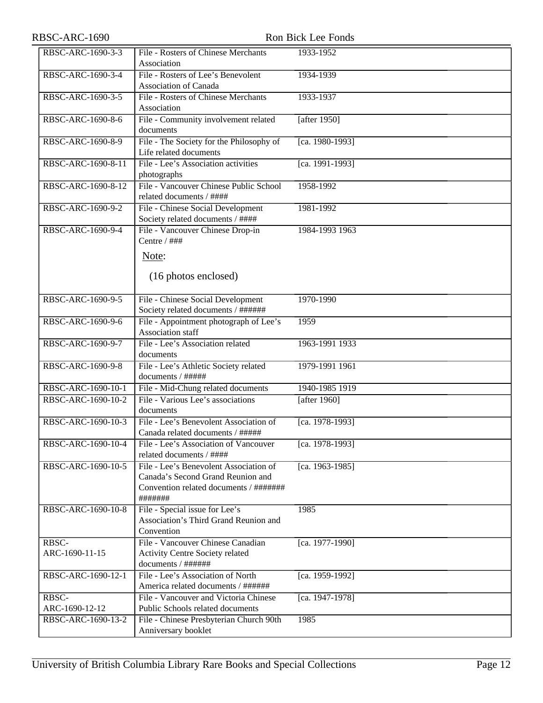| RBSC-ARC-1690           | Ron Bick Lee Fonds                                                                                                               |                          |  |
|-------------------------|----------------------------------------------------------------------------------------------------------------------------------|--------------------------|--|
| RBSC-ARC-1690-3-3       | File - Rosters of Chinese Merchants<br>Association                                                                               | 1933-1952                |  |
| RBSC-ARC-1690-3-4       | File - Rosters of Lee's Benevolent<br>Association of Canada                                                                      | 1934-1939                |  |
| RBSC-ARC-1690-3-5       | File - Rosters of Chinese Merchants<br>Association                                                                               | 1933-1937                |  |
| RBSC-ARC-1690-8-6       | File - Community involvement related<br>documents                                                                                | [after 1950]             |  |
| RBSC-ARC-1690-8-9       | File - The Society for the Philosophy of<br>Life related documents                                                               | $\sqrt{[ca. 1980-1993]}$ |  |
| RBSC-ARC-1690-8-11      | File - Lee's Association activities<br>photographs                                                                               | [ca. 1991-1993]          |  |
| RBSC-ARC-1690-8-12      | File - Vancouver Chinese Public School<br>related documents / ####                                                               | 1958-1992                |  |
| RBSC-ARC-1690-9-2       | File - Chinese Social Development<br>Society related documents / ####                                                            | 1981-1992                |  |
| RBSC-ARC-1690-9-4       | File - Vancouver Chinese Drop-in<br>Centre / ###<br>Note:<br>(16 photos enclosed)                                                | 1984-1993 1963           |  |
| RBSC-ARC-1690-9-5       | File - Chinese Social Development<br>Society related documents / ######                                                          | 1970-1990                |  |
| RBSC-ARC-1690-9-6       | File - Appointment photograph of Lee's<br>Association staff                                                                      | 1959                     |  |
| RBSC-ARC-1690-9-7       | File - Lee's Association related<br>documents                                                                                    | 1963-1991 1933           |  |
| RBSC-ARC-1690-9-8       | File - Lee's Athletic Society related<br>documents / #####                                                                       | 1979-1991 1961           |  |
| RBSC-ARC-1690-10-1      | File - Mid-Chung related documents                                                                                               | 1940-1985 1919           |  |
| RBSC-ARC-1690-10-2      | File - Various Lee's associations<br>documents                                                                                   | [after 1960]             |  |
| RBSC-ARC-1690-10-3      | File - Lee's Benevolent Association of<br>Canada related documents / #####                                                       | [ca. 1978-1993]          |  |
| RBSC-ARC-1690-10-4      | File - Lee's Association of Vancouver<br>related documents / ####                                                                | [ca. 1978-1993]          |  |
| RBSC-ARC-1690-10-5      | File - Lee's Benevolent Association of<br>Canada's Second Grand Reunion and<br>Convention related documents / #######<br>####### | [ca. 1963-1985]          |  |
| RBSC-ARC-1690-10-8      | File - Special issue for Lee's<br>Association's Third Grand Reunion and<br>Convention                                            | 1985                     |  |
| RBSC-<br>ARC-1690-11-15 | File - Vancouver Chinese Canadian<br>Activity Centre Society related<br>documents / ######                                       | [ca. 1977-1990]          |  |
| RBSC-ARC-1690-12-1      | File - Lee's Association of North<br>America related documents / ######                                                          | [ca. 1959-1992]          |  |
| RBSC-                   | File - Vancouver and Victoria Chinese                                                                                            | [ca. 1947-1978]          |  |
| ARC-1690-12-12          | Public Schools related documents                                                                                                 |                          |  |
| RBSC-ARC-1690-13-2      | File - Chinese Presbyterian Church 90th<br>Anniversary booklet                                                                   | 1985                     |  |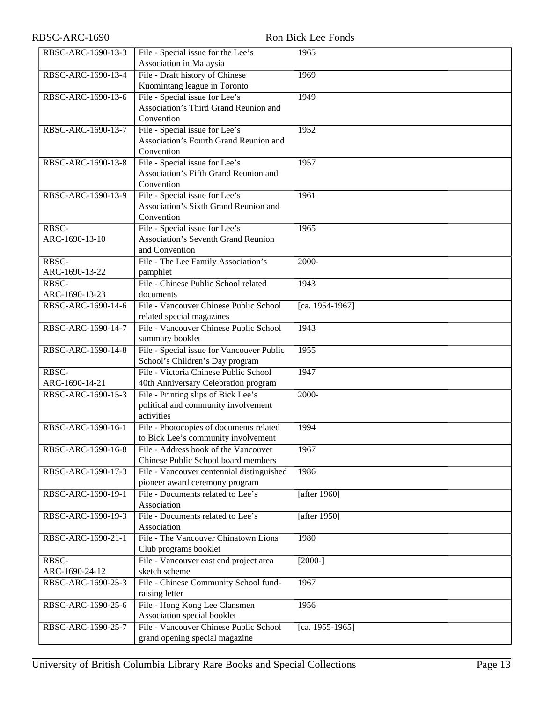| RBSC-ARC-1690-13-3 | File - Special issue for the Lee's         | 1965            |
|--------------------|--------------------------------------------|-----------------|
|                    | Association in Malaysia                    |                 |
| RBSC-ARC-1690-13-4 | File - Draft history of Chinese            | 1969            |
|                    | Kuomintang league in Toronto               |                 |
| RBSC-ARC-1690-13-6 | File - Special issue for Lee's             | 1949            |
|                    | Association's Third Grand Reunion and      |                 |
|                    | Convention                                 |                 |
|                    |                                            |                 |
| RBSC-ARC-1690-13-7 | File - Special issue for Lee's             | 1952            |
|                    | Association's Fourth Grand Reunion and     |                 |
|                    | Convention                                 |                 |
| RBSC-ARC-1690-13-8 | File - Special issue for Lee's             | 1957            |
|                    | Association's Fifth Grand Reunion and      |                 |
|                    | Convention                                 |                 |
| RBSC-ARC-1690-13-9 | File - Special issue for Lee's             | 1961            |
|                    | Association's Sixth Grand Reunion and      |                 |
|                    | Convention                                 |                 |
| RBSC-              | File - Special issue for Lee's             | 1965            |
|                    |                                            |                 |
| ARC-1690-13-10     | <b>Association's Seventh Grand Reunion</b> |                 |
|                    | and Convention                             |                 |
| RBSC-              | File - The Lee Family Association's        | $2000 -$        |
| ARC-1690-13-22     | pamphlet                                   |                 |
| RBSC-              | File - Chinese Public School related       | 1943            |
| ARC-1690-13-23     | documents                                  |                 |
| RBSC-ARC-1690-14-6 | File - Vancouver Chinese Public School     | [ca. 1954-1967] |
|                    | related special magazines                  |                 |
| RBSC-ARC-1690-14-7 | File - Vancouver Chinese Public School     | 1943            |
|                    | summary booklet                            |                 |
| RBSC-ARC-1690-14-8 | File - Special issue for Vancouver Public  | 1955            |
|                    | School's Children's Day program            |                 |
|                    | File - Victoria Chinese Public School      | 1947            |
| RBSC-              |                                            |                 |
| ARC-1690-14-21     | 40th Anniversary Celebration program       |                 |
| RBSC-ARC-1690-15-3 | File - Printing slips of Bick Lee's        | $2000 -$        |
|                    | political and community involvement        |                 |
|                    | activities                                 |                 |
| RBSC-ARC-1690-16-1 | File - Photocopies of documents related    | 1994            |
|                    | to Bick Lee's community involvement        |                 |
| RBSC-ARC-1690-16-8 | File - Address book of the Vancouver       | 1967            |
|                    | Chinese Public School board members        |                 |
| RBSC-ARC-1690-17-3 | File - Vancouver centennial distinguished  | 1986            |
|                    | pioneer award ceremony program             |                 |
| RBSC-ARC-1690-19-1 | File - Documents related to Lee's          |                 |
|                    |                                            | [after 1960]    |
|                    | Association                                |                 |
| RBSC-ARC-1690-19-3 | File - Documents related to Lee's          | [after $1950$ ] |
|                    | Association                                |                 |
| RBSC-ARC-1690-21-1 | File - The Vancouver Chinatown Lions       | 1980            |
|                    | Club programs booklet                      |                 |
| RBSC-              | File - Vancouver east end project area     | $[2000-]$       |
| ARC-1690-24-12     | sketch scheme                              |                 |
| RBSC-ARC-1690-25-3 | File - Chinese Community School fund-      | 1967            |
|                    | raising letter                             |                 |
| RBSC-ARC-1690-25-6 | File - Hong Kong Lee Clansmen              | 1956            |
|                    | Association special booklet                |                 |
| RBSC-ARC-1690-25-7 | File - Vancouver Chinese Public School     |                 |
|                    |                                            | [ca. 1955-1965] |
|                    | grand opening special magazine             |                 |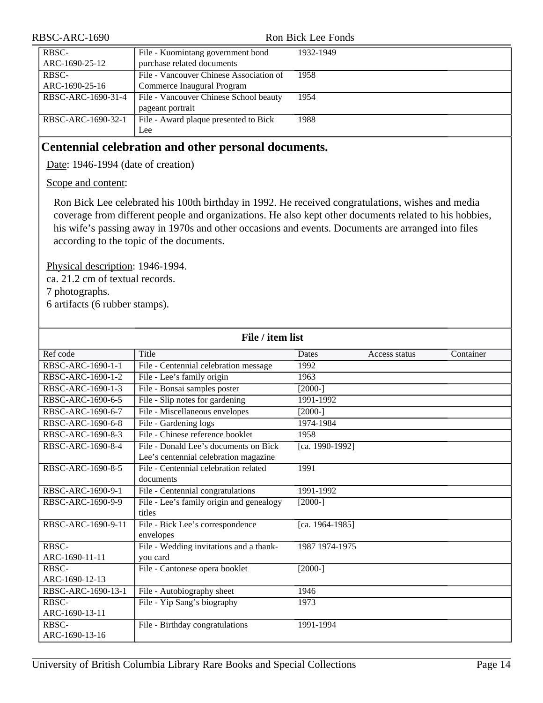| RBSC-ARC-1690      |                                         | Ron Bick Lee Fonds |
|--------------------|-----------------------------------------|--------------------|
| RBSC-              | File - Kuomintang government bond       | 1932-1949          |
| ARC-1690-25-12     | purchase related documents              |                    |
| RBSC-              | File - Vancouver Chinese Association of | 1958               |
| ARC-1690-25-16     | Commerce Inaugural Program              |                    |
| RBSC-ARC-1690-31-4 | File - Vancouver Chinese School beauty  | 1954               |
|                    | pageant portrait                        |                    |
| RBSC-ARC-1690-32-1 | File - Award plaque presented to Bick   | 1988               |
|                    | Lee                                     |                    |

## <span id="page-13-0"></span>**Centennial celebration and other personal documents.**

Date: 1946-1994 (date of creation)

Scope and content:

Ron Bick Lee celebrated his 100th birthday in 1992. He received congratulations, wishes and media coverage from different people and organizations. He also kept other documents related to his hobbies, his wife's passing away in 1970s and other occasions and events. Documents are arranged into files according to the topic of the documents.

Physical description: 1946-1994.

ca. 21.2 cm of textual records.

7 photographs.

6 artifacts (6 rubber stamps).

| File / item list        |                                                                                |                 |               |           |
|-------------------------|--------------------------------------------------------------------------------|-----------------|---------------|-----------|
| Ref code                | Title                                                                          | Dates           | Access status | Container |
| RBSC-ARC-1690-1-1       | File - Centennial celebration message                                          | 1992            |               |           |
| RBSC-ARC-1690-1-2       | File - Lee's family origin                                                     | 1963            |               |           |
| RBSC-ARC-1690-1-3       | File - Bonsai samples poster                                                   | $[2000-]$       |               |           |
| RBSC-ARC-1690-6-5       | File - Slip notes for gardening                                                | 1991-1992       |               |           |
| RBSC-ARC-1690-6-7       | File - Miscellaneous envelopes                                                 | $[2000-]$       |               |           |
| RBSC-ARC-1690-6-8       | File - Gardening logs                                                          | 1974-1984       |               |           |
| RBSC-ARC-1690-8-3       | File - Chinese reference booklet                                               | 1958            |               |           |
| RBSC-ARC-1690-8-4       | File - Donald Lee's documents on Bick<br>Lee's centennial celebration magazine | [ca. 1990-1992] |               |           |
| RBSC-ARC-1690-8-5       | File - Centennial celebration related<br>documents                             | 1991            |               |           |
| RBSC-ARC-1690-9-1       | File - Centennial congratulations                                              | 1991-1992       |               |           |
| RBSC-ARC-1690-9-9       | File - Lee's family origin and genealogy<br>titles                             | $[2000-]$       |               |           |
| RBSC-ARC-1690-9-11      | File - Bick Lee's correspondence<br>envelopes                                  | [ca. 1964-1985] |               |           |
| RBSC-<br>ARC-1690-11-11 | File - Wedding invitations and a thank-<br>you card                            | 1987 1974-1975  |               |           |
| RBSC-<br>ARC-1690-12-13 | File - Cantonese opera booklet                                                 | $[2000-]$       |               |           |
| RBSC-ARC-1690-13-1      | File - Autobiography sheet                                                     | 1946            |               |           |
| RBSC-                   | File - Yip Sang's biography                                                    | 1973            |               |           |
| ARC-1690-13-11          |                                                                                |                 |               |           |
| RBSC-                   | File - Birthday congratulations                                                | 1991-1994       |               |           |
| ARC-1690-13-16          |                                                                                |                 |               |           |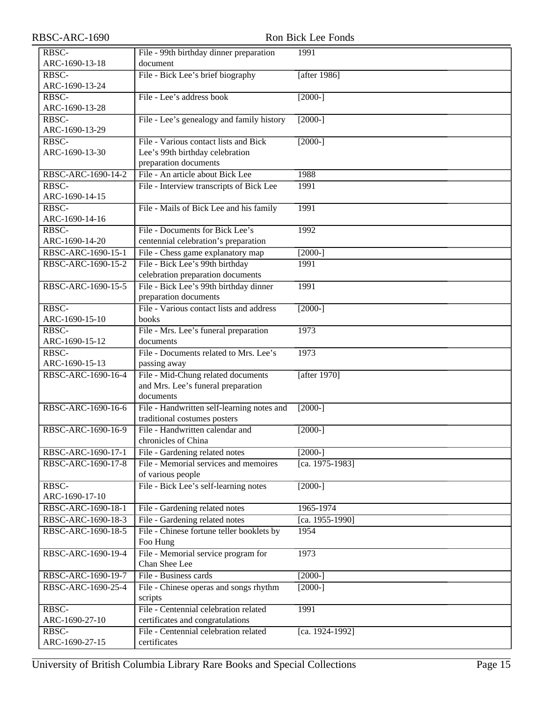| RBSC-ARC-1690 |
|---------------|
|---------------|

| RBSC-ARC-1690           | Ron Bick Lee Fonds                                                        |                 |  |
|-------------------------|---------------------------------------------------------------------------|-----------------|--|
| RBSC-                   | File - 99th birthday dinner preparation                                   | 1991            |  |
| ARC-1690-13-18          | document                                                                  |                 |  |
| RBSC-                   | File - Bick Lee's brief biography                                         | [after 1986]    |  |
| ARC-1690-13-24          |                                                                           |                 |  |
| RBSC-                   | File - Lee's address book                                                 | $[2000-]$       |  |
| ARC-1690-13-28          |                                                                           |                 |  |
| RBSC-                   | File - Lee's genealogy and family history                                 | $[2000-]$       |  |
| ARC-1690-13-29          |                                                                           |                 |  |
| RBSC-                   | File - Various contact lists and Bick                                     | $[2000-]$       |  |
| ARC-1690-13-30          | Lee's 99th birthday celebration                                           |                 |  |
|                         | preparation documents                                                     |                 |  |
| RBSC-ARC-1690-14-2      | File - An article about Bick Lee                                          | 1988            |  |
| RBSC-                   | File - Interview transcripts of Bick Lee                                  | 1991            |  |
| ARC-1690-14-15          |                                                                           |                 |  |
| RBSC-                   | File - Mails of Bick Lee and his family                                   | 1991            |  |
| ARC-1690-14-16          |                                                                           |                 |  |
| RBSC-                   | File - Documents for Bick Lee's                                           | 1992            |  |
| ARC-1690-14-20          | centennial celebration's preparation                                      |                 |  |
| RBSC-ARC-1690-15-1      | File - Chess game explanatory map                                         | $[2000-]$       |  |
| RBSC-ARC-1690-15-2      | File - Bick Lee's 99th birthday                                           | 1991            |  |
|                         | celebration preparation documents                                         |                 |  |
| RBSC-ARC-1690-15-5      | File - Bick Lee's 99th birthday dinner                                    | 1991            |  |
|                         | preparation documents                                                     |                 |  |
| RBSC-                   | File - Various contact lists and address                                  | $[2000-]$       |  |
| ARC-1690-15-10          | books                                                                     |                 |  |
| RBSC-                   | File - Mrs. Lee's funeral preparation<br>documents                        | 1973            |  |
| ARC-1690-15-12<br>RBSC- | File - Documents related to Mrs. Lee's                                    | 1973            |  |
| ARC-1690-15-13          | passing away                                                              |                 |  |
| RBSC-ARC-1690-16-4      | File - Mid-Chung related documents                                        | [after 1970]    |  |
|                         | and Mrs. Lee's funeral preparation                                        |                 |  |
|                         | documents                                                                 |                 |  |
| RBSC-ARC-1690-16-6      | File - Handwritten self-learning notes and                                | $[2000-]$       |  |
|                         | traditional costumes posters                                              |                 |  |
| RBSC-ARC-1690-16-9      | File - Handwritten calendar and                                           | $[2000-]$       |  |
|                         | chronicles of China                                                       |                 |  |
| RBSC-ARC-1690-17-1      | File - Gardening related notes                                            | $[2000-]$       |  |
| RBSC-ARC-1690-17-8      | File - Memorial services and memoires                                     | [ca. 1975-1983] |  |
|                         | of various people                                                         |                 |  |
| RBSC-                   | File - Bick Lee's self-learning notes                                     | $[2000-]$       |  |
| ARC-1690-17-10          |                                                                           |                 |  |
| RBSC-ARC-1690-18-1      | File - Gardening related notes                                            | 1965-1974       |  |
| RBSC-ARC-1690-18-3      | File - Gardening related notes                                            | [ca. 1955-1990] |  |
| RBSC-ARC-1690-18-5      | File - Chinese fortune teller booklets by                                 | 1954            |  |
|                         | Foo Hung                                                                  |                 |  |
| RBSC-ARC-1690-19-4      | File - Memorial service program for                                       | 1973            |  |
|                         | Chan Shee Lee                                                             |                 |  |
| RBSC-ARC-1690-19-7      | File - Business cards                                                     | $[2000-]$       |  |
| RBSC-ARC-1690-25-4      | File - Chinese operas and songs rhythm                                    | $[2000-]$       |  |
|                         | scripts                                                                   |                 |  |
| RBSC-<br>ARC-1690-27-10 | File - Centennial celebration related                                     | 1991            |  |
| RBSC-                   | certificates and congratulations<br>File - Centennial celebration related |                 |  |
| ARC-1690-27-15          | certificates                                                              | [ca. 1924-1992] |  |
|                         |                                                                           |                 |  |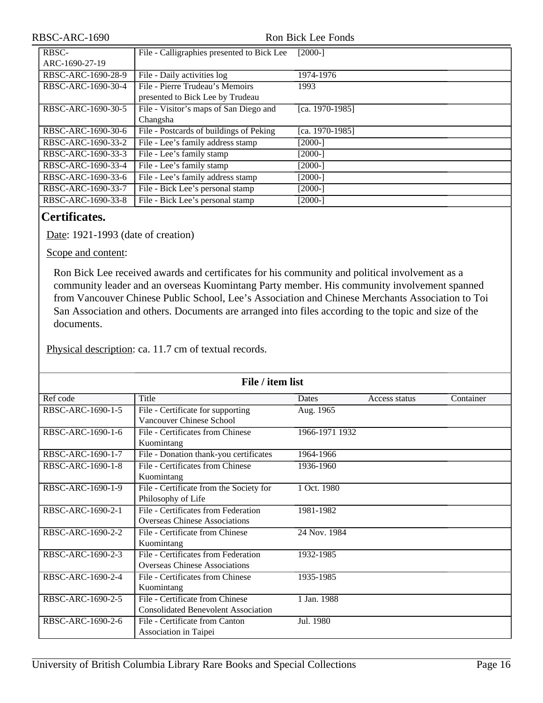#### Ron Bick Lee Fonds

| RBSC-              | File - Calligraphies presented to Bick Lee | $[2000-]$       |
|--------------------|--------------------------------------------|-----------------|
| ARC-1690-27-19     |                                            |                 |
| RBSC-ARC-1690-28-9 | File - Daily activities log                | 1974-1976       |
| RBSC-ARC-1690-30-4 | File - Pierre Trudeau's Memoirs            | 1993            |
|                    | presented to Bick Lee by Trudeau           |                 |
| RBSC-ARC-1690-30-5 | File - Visitor's maps of San Diego and     | [ca. 1970-1985] |
|                    | Changsha                                   |                 |
| RBSC-ARC-1690-30-6 | File - Postcards of buildings of Peking    | [ca. 1970-1985] |
| RBSC-ARC-1690-33-2 | File - Lee's family address stamp          | $[2000-]$       |
| RBSC-ARC-1690-33-3 | File - Lee's family stamp                  | $[2000-]$       |
| RBSC-ARC-1690-33-4 | File - Lee's family stamp                  | $[2000-]$       |
| RBSC-ARC-1690-33-6 | File - Lee's family address stamp          | $[2000-]$       |
| RBSC-ARC-1690-33-7 | File - Bick Lee's personal stamp           | $[2000-]$       |
| RBSC-ARC-1690-33-8 | File - Bick Lee's personal stamp           | $[2000-]$       |

## <span id="page-15-0"></span>**Certificates.**

Date: 1921-1993 (date of creation)

Scope and content:

Ron Bick Lee received awards and certificates for his community and political involvement as a community leader and an overseas Kuomintang Party member. His community involvement spanned from Vancouver Chinese Public School, Lee's Association and Chinese Merchants Association to Toi San Association and others. Documents are arranged into files according to the topic and size of the documents.

Physical description: ca. 11.7 cm of textual records.

| File / item list  |                                                                               |                |               |           |
|-------------------|-------------------------------------------------------------------------------|----------------|---------------|-----------|
| Ref code          | Title                                                                         | Dates          | Access status | Container |
| RBSC-ARC-1690-1-5 | File - Certificate for supporting<br>Vancouver Chinese School                 | Aug. 1965      |               |           |
| RBSC-ARC-1690-1-6 | File - Certificates from Chinese<br>Kuomintang                                | 1966-1971 1932 |               |           |
| RBSC-ARC-1690-1-7 | File - Donation thank-you certificates                                        | 1964-1966      |               |           |
| RBSC-ARC-1690-1-8 | File - Certificates from Chinese<br>Kuomintang                                | 1936-1960      |               |           |
| RBSC-ARC-1690-1-9 | File - Certificate from the Society for<br>Philosophy of Life                 | 1 Oct. 1980    |               |           |
| RBSC-ARC-1690-2-1 | File - Certificates from Federation<br><b>Overseas Chinese Associations</b>   | 1981-1982      |               |           |
| RBSC-ARC-1690-2-2 | File - Certificate from Chinese<br>Kuomintang                                 | 24 Nov. 1984   |               |           |
| RBSC-ARC-1690-2-3 | File - Certificates from Federation<br><b>Overseas Chinese Associations</b>   | 1932-1985      |               |           |
| RBSC-ARC-1690-2-4 | File - Certificates from Chinese<br>Kuomintang                                | 1935-1985      |               |           |
| RBSC-ARC-1690-2-5 | File - Certificate from Chinese<br><b>Consolidated Benevolent Association</b> | 1 Jan. 1988    |               |           |
| RBSC-ARC-1690-2-6 | File - Certificate from Canton<br>Association in Taipei                       | Jul. 1980      |               |           |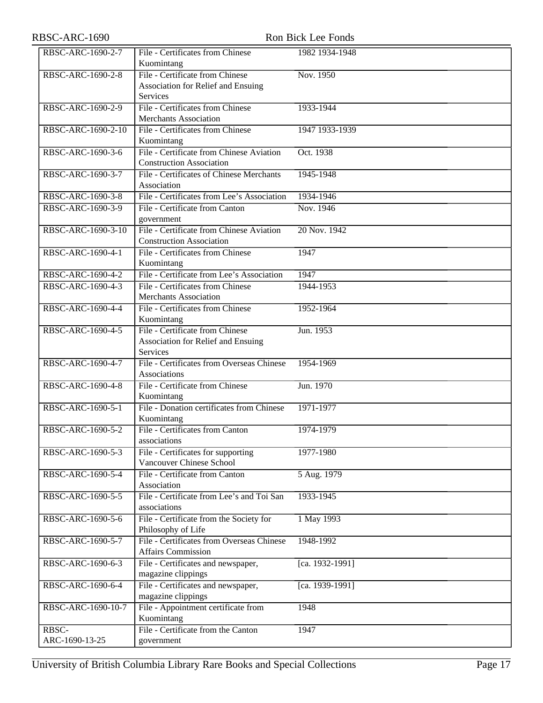| RBSC-ARC-1690-2-7  | File - Certificates from Chinese<br>Kuomintang                 | 1982 1934-1948  |
|--------------------|----------------------------------------------------------------|-----------------|
| RBSC-ARC-1690-2-8  | File - Certificate from Chinese                                | Nov. 1950       |
|                    | Association for Relief and Ensuing                             |                 |
|                    | <b>Services</b>                                                |                 |
| RBSC-ARC-1690-2-9  | File - Certificates from Chinese                               | 1933-1944       |
|                    | <b>Merchants Association</b>                                   |                 |
| RBSC-ARC-1690-2-10 | File - Certificates from Chinese                               | 1947 1933-1939  |
|                    | Kuomintang                                                     |                 |
| RBSC-ARC-1690-3-6  | File - Certificate from Chinese Aviation                       | Oct. 1938       |
|                    | <b>Construction Association</b>                                |                 |
| RBSC-ARC-1690-3-7  | File - Certificates of Chinese Merchants                       | 1945-1948       |
|                    | Association                                                    |                 |
| RBSC-ARC-1690-3-8  | File - Certificates from Lee's Association                     | 1934-1946       |
| RBSC-ARC-1690-3-9  | File - Certificate from Canton                                 | Nov. 1946       |
|                    | government                                                     |                 |
| RBSC-ARC-1690-3-10 | File - Certificate from Chinese Aviation                       | 20 Nov. 1942    |
|                    | <b>Construction Association</b>                                |                 |
| RBSC-ARC-1690-4-1  | File - Certificates from Chinese                               | 1947            |
|                    | Kuomintang                                                     |                 |
| RBSC-ARC-1690-4-2  | File - Certificate from Lee's Association                      | 1947            |
| RBSC-ARC-1690-4-3  | File - Certificates from Chinese                               | 1944-1953       |
|                    | <b>Merchants Association</b>                                   |                 |
| RBSC-ARC-1690-4-4  | File - Certificates from Chinese                               | 1952-1964       |
|                    | Kuomintang                                                     |                 |
| RBSC-ARC-1690-4-5  | File - Certificate from Chinese                                | Jun. 1953       |
|                    | Association for Relief and Ensuing                             |                 |
|                    | <b>Services</b>                                                |                 |
| RBSC-ARC-1690-4-7  | File - Certificates from Overseas Chinese                      | 1954-1969       |
|                    | Associations                                                   |                 |
| RBSC-ARC-1690-4-8  | File - Certificate from Chinese                                | Jun. 1970       |
|                    | Kuomintang                                                     |                 |
| RBSC-ARC-1690-5-1  | File - Donation certificates from Chinese                      | 1971-1977       |
|                    | Kuomintang                                                     |                 |
| RBSC-ARC-1690-5-2  | File - Certificates from Canton                                | 1974-1979       |
|                    | associations                                                   |                 |
| RBSC-ARC-1690-5-3  | File - Certificates for supporting<br>Vancouver Chinese School | 1977-1980       |
| RBSC-ARC-1690-5-4  | File - Certificate from Canton                                 | 5 Aug. 1979     |
|                    | Association                                                    |                 |
| RBSC-ARC-1690-5-5  | File - Certificate from Lee's and Toi San                      | 1933-1945       |
|                    | associations                                                   |                 |
| RBSC-ARC-1690-5-6  | File - Certificate from the Society for                        | 1 May 1993      |
|                    | Philosophy of Life                                             |                 |
| RBSC-ARC-1690-5-7  | File - Certificates from Overseas Chinese                      | 1948-1992       |
|                    | <b>Affairs Commission</b>                                      |                 |
| RBSC-ARC-1690-6-3  | File - Certificates and newspaper,                             | [ca. 1932-1991] |
|                    | magazine clippings                                             |                 |
| RBSC-ARC-1690-6-4  | File - Certificates and newspaper,                             | [ca. 1939-1991] |
|                    | magazine clippings                                             |                 |
| RBSC-ARC-1690-10-7 | File - Appointment certificate from                            | 1948            |
|                    | Kuomintang                                                     |                 |
| RBSC-              | File - Certificate from the Canton                             | 1947            |
| ARC-1690-13-25     | government                                                     |                 |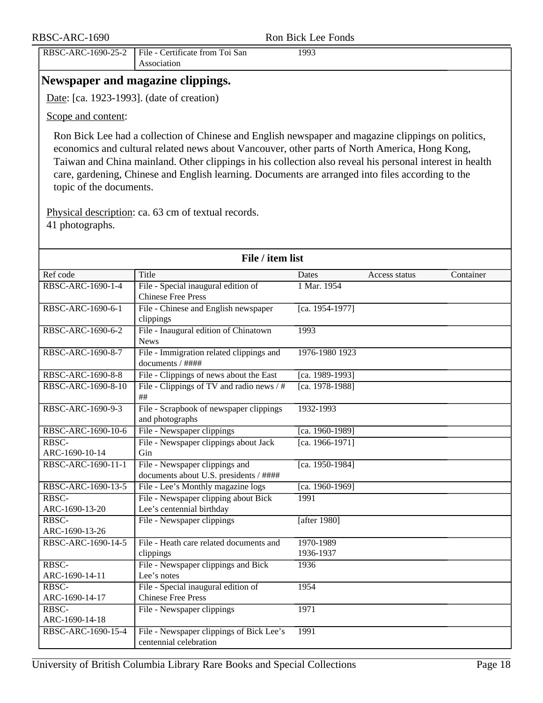| RBSC-ARC-1690                                                       | Ron Bick Lee Fonds |  |
|---------------------------------------------------------------------|--------------------|--|
| RBSC-ARC-1690-25-2   File - Certificate from Toi San<br>Association | 1993               |  |

## <span id="page-17-0"></span>**Newspaper and magazine clippings.**

Date: [ca. 1923-1993]. (date of creation)

Scope and content:

Ron Bick Lee had a collection of Chinese and English newspaper and magazine clippings on politics, economics and cultural related news about Vancouver, other parts of North America, Hong Kong, Taiwan and China mainland. Other clippings in his collection also reveal his personal interest in health care, gardening, Chinese and English learning. Documents are arranged into files according to the topic of the documents.

Physical description: ca. 63 cm of textual records. 41 photographs.

| File / item list        |                                                                          |                        |               |           |
|-------------------------|--------------------------------------------------------------------------|------------------------|---------------|-----------|
| Ref code                | Title                                                                    | <b>Dates</b>           | Access status | Container |
| RBSC-ARC-1690-1-4       | File - Special inaugural edition of<br><b>Chinese Free Press</b>         | 1 Mar. 1954            |               |           |
| RBSC-ARC-1690-6-1       | File - Chinese and English newspaper<br>clippings                        | [ca. 1954-1977]        |               |           |
| RBSC-ARC-1690-6-2       | File - Inaugural edition of Chinatown<br><b>News</b>                     | 1993                   |               |           |
| RBSC-ARC-1690-8-7       | File - Immigration related clippings and<br>documents / ####             | 1976-1980 1923         |               |           |
| RBSC-ARC-1690-8-8       | File - Clippings of news about the East                                  | [ca. 1989-1993]        |               |           |
| RBSC-ARC-1690-8-10      | File - Clippings of TV and radio news $/$ #<br>$\#\#$                    | [ca. 1978-1988]        |               |           |
| RBSC-ARC-1690-9-3       | File - Scrapbook of newspaper clippings<br>and photographs               | 1932-1993              |               |           |
| RBSC-ARC-1690-10-6      | File - Newspaper clippings                                               | [ca. 1960-1989]        |               |           |
| RBSC-<br>ARC-1690-10-14 | File - Newspaper clippings about Jack<br>Gin                             | [ca. 1966-1971]        |               |           |
| RBSC-ARC-1690-11-1      | File - Newspaper clippings and<br>documents about U.S. presidents / #### | [ca. 1950-1984]        |               |           |
| RBSC-ARC-1690-13-5      | File - Lee's Monthly magazine logs                                       | [ca. 1960-1969]        |               |           |
| RBSC-<br>ARC-1690-13-20 | File - Newspaper clipping about Bick<br>Lee's centennial birthday        | 1991                   |               |           |
| RBSC-<br>ARC-1690-13-26 | File - Newspaper clippings                                               | [after 1980]           |               |           |
| RBSC-ARC-1690-14-5      | File - Heath care related documents and<br>clippings                     | 1970-1989<br>1936-1937 |               |           |
| RBSC-<br>ARC-1690-14-11 | File - Newspaper clippings and Bick<br>Lee's notes                       | 1936                   |               |           |
| RBSC-<br>ARC-1690-14-17 | File - Special inaugural edition of<br><b>Chinese Free Press</b>         | 1954                   |               |           |
| RBSC-<br>ARC-1690-14-18 | File - Newspaper clippings                                               | 1971                   |               |           |
| RBSC-ARC-1690-15-4      | File - Newspaper clippings of Bick Lee's<br>centennial celebration       | 1991                   |               |           |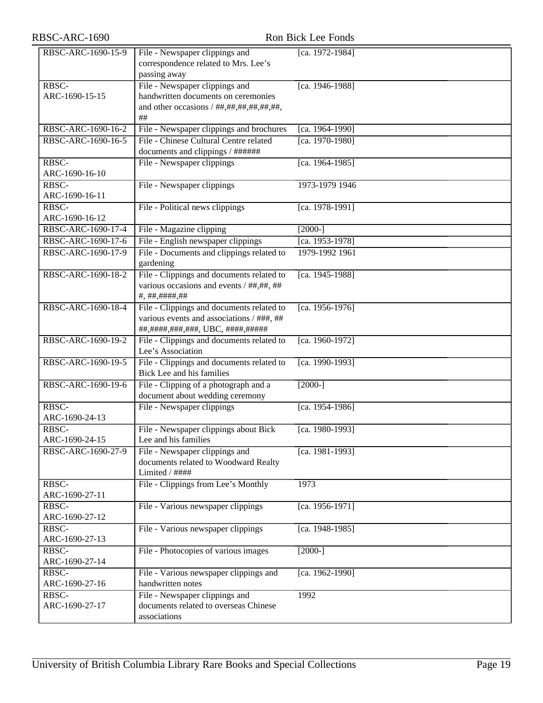| RBSC-ARC-1690           | Ron Bick Lee Fonds                                                                                                          |                 |
|-------------------------|-----------------------------------------------------------------------------------------------------------------------------|-----------------|
| RBSC-ARC-1690-15-9      | File - Newspaper clippings and<br>correspondence related to Mrs. Lee's<br>passing away                                      | [ca. 1972-1984] |
| RBSC-<br>ARC-1690-15-15 | File - Newspaper clippings and<br>handwritten documents on ceremonies<br>and other occasions / ##,##,##,##,##,##,<br>$\#\#$ | [ca. 1946-1988] |
| RBSC-ARC-1690-16-2      | File - Newspaper clippings and brochures                                                                                    | [ca. 1964-1990] |
| RBSC-ARC-1690-16-5      | File - Chinese Cultural Centre related<br>documents and clippings / ######                                                  | [ca. 1970-1980] |
| RBSC-<br>ARC-1690-16-10 | File - Newspaper clippings                                                                                                  | [ca. 1964-1985] |
| RBSC-<br>ARC-1690-16-11 | File - Newspaper clippings                                                                                                  | 1973-1979 1946  |
| RBSC-<br>ARC-1690-16-12 | File - Political news clippings                                                                                             | [ca. 1978-1991] |
| RBSC-ARC-1690-17-4      | File - Magazine clipping                                                                                                    | $[2000-]$       |
| RBSC-ARC-1690-17-6      | File - English newspaper clippings                                                                                          | [ca. 1953-1978] |
| RBSC-ARC-1690-17-9      | File - Documents and clippings related to<br>gardening                                                                      | 1979-1992 1961  |
| RBSC-ARC-1690-18-2      | File - Clippings and documents related to<br>various occasions and events / ##,##, ##<br>#, ##, ####, ##                    | [ca. 1945-1988] |
| RBSC-ARC-1690-18-4      | File - Clippings and documents related to<br>various events and associations / ###, ##<br>##,####,###,###, UBC, ####,#####  | [ca. 1956-1976] |
| RBSC-ARC-1690-19-2      | File - Clippings and documents related to<br>Lee's Association                                                              | [ca. 1960-1972] |
| RBSC-ARC-1690-19-5      | File - Clippings and documents related to<br>Bick Lee and his families                                                      | [ca. 1990-1993] |
| RBSC-ARC-1690-19-6      | File - Clipping of a photograph and a<br>document about wedding ceremony                                                    | $[2000-]$       |
| RBSC-<br>ARC-1690-24-13 | File - Newspaper clippings                                                                                                  | [ca. 1954-1986] |
| RBSC-<br>ARC-1690-24-15 | File - Newspaper clippings about Bick<br>Lee and his families                                                               | [ca. 1980-1993] |
| RBSC-ARC-1690-27-9      | File - Newspaper clippings and<br>documents related to Woodward Realty<br>Limited / ####                                    | [ca. 1981-1993] |
| RBSC-<br>ARC-1690-27-11 | File - Clippings from Lee's Monthly                                                                                         | 1973            |
| RBSC-<br>ARC-1690-27-12 | File - Various newspaper clippings                                                                                          | [ca. 1956-1971] |
| RBSC-<br>ARC-1690-27-13 | File - Various newspaper clippings                                                                                          | [ca. 1948-1985] |
| RBSC-<br>ARC-1690-27-14 | File - Photocopies of various images                                                                                        | $[2000-]$       |
| RBSC-<br>ARC-1690-27-16 | File - Various newspaper clippings and<br>handwritten notes                                                                 | [ca. 1962-1990] |
| RBSC-<br>ARC-1690-27-17 | File - Newspaper clippings and<br>documents related to overseas Chinese<br>associations                                     | 1992            |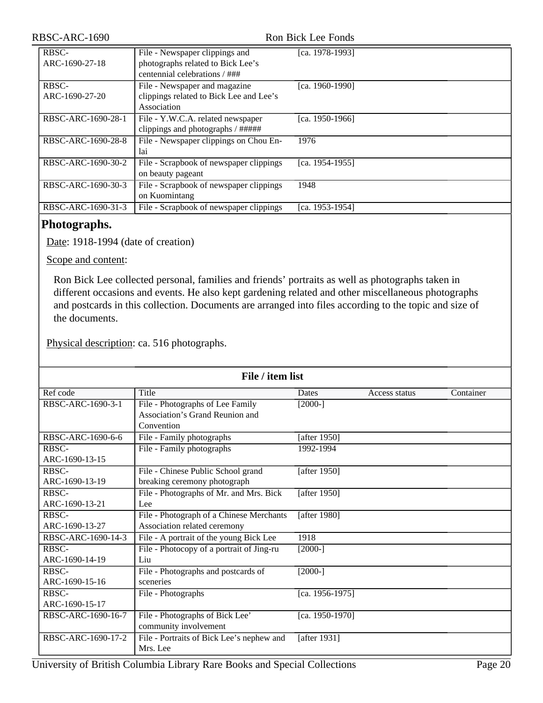| RBSC-ARC-1690           | Ron Bick Lee Fonds                                                                                   |                 |  |
|-------------------------|------------------------------------------------------------------------------------------------------|-----------------|--|
| RBSC-<br>ARC-1690-27-18 | File - Newspaper clippings and<br>photographs related to Bick Lee's<br>centennial celebrations / ### | [ca. 1978-1993] |  |
| RBSC-<br>ARC-1690-27-20 | File - Newspaper and magazine<br>clippings related to Bick Lee and Lee's<br>Association              | [ca. 1960-1990] |  |
| RBSC-ARC-1690-28-1      | File - Y.W.C.A. related newspaper<br>clippings and photographs / #####                               | [ca. 1950-1966] |  |
| RBSC-ARC-1690-28-8      | File - Newspaper clippings on Chou En-<br>lai                                                        | 1976            |  |
| RBSC-ARC-1690-30-2      | File - Scrapbook of newspaper clippings<br>on beauty pageant                                         | [ca. 1954-1955] |  |
| RBSC-ARC-1690-30-3      | File - Scrapbook of newspaper clippings<br>on Kuomintang                                             | 1948            |  |
| RBSC-ARC-1690-31-3      | File - Scrapbook of newspaper clippings                                                              | [ca. 1953-1954] |  |

## <span id="page-19-0"></span>**Photographs.**

Date: 1918-1994 (date of creation)

Scope and content:

Ron Bick Lee collected personal, families and friends' portraits as well as photographs taken in different occasions and events. He also kept gardening related and other miscellaneous photographs and postcards in this collection. Documents are arranged into files according to the topic and size of the documents.

Physical description: ca. 516 photographs.

| File / item list   |                                           |                 |               |           |  |
|--------------------|-------------------------------------------|-----------------|---------------|-----------|--|
| Ref code           | Title                                     | Dates           | Access status | Container |  |
| RBSC-ARC-1690-3-1  | File - Photographs of Lee Family          | $[2000-]$       |               |           |  |
|                    | Association's Grand Reunion and           |                 |               |           |  |
|                    | Convention                                |                 |               |           |  |
| RBSC-ARC-1690-6-6  | File - Family photographs                 | [after 1950]    |               |           |  |
| RBSC-              | File - Family photographs                 | 1992-1994       |               |           |  |
| ARC-1690-13-15     |                                           |                 |               |           |  |
| RBSC-              | File - Chinese Public School grand        | [after 1950]    |               |           |  |
| ARC-1690-13-19     | breaking ceremony photograph              |                 |               |           |  |
| RBSC-              | File - Photographs of Mr. and Mrs. Bick   | [after 1950]    |               |           |  |
| ARC-1690-13-21     | Lee                                       |                 |               |           |  |
| RBSC-              | File - Photograph of a Chinese Merchants  | [after 1980]    |               |           |  |
| ARC-1690-13-27     | Association related ceremony              |                 |               |           |  |
| RBSC-ARC-1690-14-3 | File - A portrait of the young Bick Lee   | 1918            |               |           |  |
| RBSC-              | File - Photocopy of a portrait of Jing-ru | $[2000-]$       |               |           |  |
| ARC-1690-14-19     | Liu                                       |                 |               |           |  |
| RBSC-              | File - Photographs and postcards of       | $[2000-]$       |               |           |  |
| ARC-1690-15-16     | sceneries                                 |                 |               |           |  |
| RBSC-              | File - Photographs                        | [ca. 1956-1975] |               |           |  |
| ARC-1690-15-17     |                                           |                 |               |           |  |
| RBSC-ARC-1690-16-7 | File - Photographs of Bick Lee'           | [ca. 1950-1970] |               |           |  |
|                    | community involvement                     |                 |               |           |  |
| RBSC-ARC-1690-17-2 | File - Portraits of Bick Lee's nephew and | [after 1931]    |               |           |  |
|                    | Mrs. Lee                                  |                 |               |           |  |